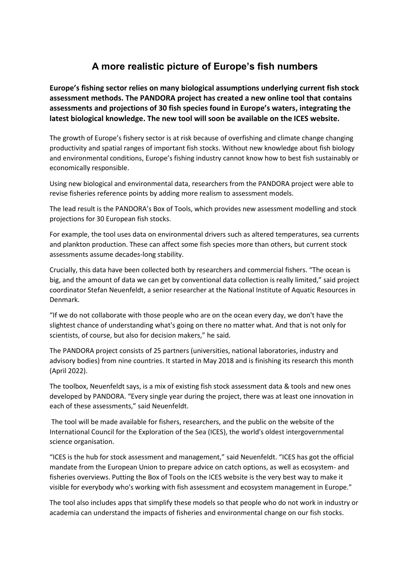# **A more realistic picture of Europe's fish numbers**

**Europe's fishing sector relies on many biological assumptions underlying current fish stock assessment methods. The PANDORA project has created a new online tool that contains assessments and projections of 30 fish species found in Europe's waters, integrating the latest biological knowledge. The new tool will soon be available on the ICES website.** 

The growth of Europe's fishery sector is at risk because of overfishing and climate change changing productivity and spatial ranges of important fish stocks. Without new knowledge about fish biology and environmental conditions, Europe's fishing industry cannot know how to best fish sustainably or economically responsible.

Using new biological and environmental data, researchers from the PANDORA project were able to revise fisheries reference points by adding more realism to assessment models.

The lead result is the PANDORA's Box of Tools, which provides new assessment modelling and stock projections for 30 European fish stocks.

For example, the tool uses data on environmental drivers such as altered temperatures, sea currents and plankton production. These can affect some fish species more than others, but current stock assessments assume decades-long stability.

Crucially, this data have been collected both by researchers and commercial fishers. "The ocean is big, and the amount of data we can get by conventional data collection is really limited," said project coordinator Stefan Neuenfeldt, a senior researcher at the National Institute of Aquatic Resources in Denmark.

"If we do not collaborate with those people who are on the ocean every day, we don't have the slightest chance of understanding what's going on there no matter what. And that is not only for scientists, of course, but also for decision makers," he said.

The PANDORA project consists of 25 partners (universities, national laboratories, industry and advisory bodies) from nine countries. It started in May 2018 and is finishing its research this month (April 2022).

The toolbox, Neuenfeldt says, is a mix of existing fish stock assessment data & tools and new ones developed by PANDORA. "Every single year during the project, there was at least one innovation in each of these assessments," said Neuenfeldt.

The tool will be made available for fishers, researchers, and the public on the website of the International Council for the Exploration of the Sea (ICES), the world's oldest intergovernmental science organisation.

"ICES is the hub for stock assessment and management," said Neuenfeldt. "ICES has got the official mandate from the European Union to prepare advice on catch options, as well as ecosystem- and fisheries overviews. Putting the Box of Tools on the ICES website is the very best way to make it visible for everybody who's working with fish assessment and ecosystem management in Europe."

The tool also includes apps that simplify these models so that people who do not work in industry or academia can understand the impacts of fisheries and environmental change on our fish stocks.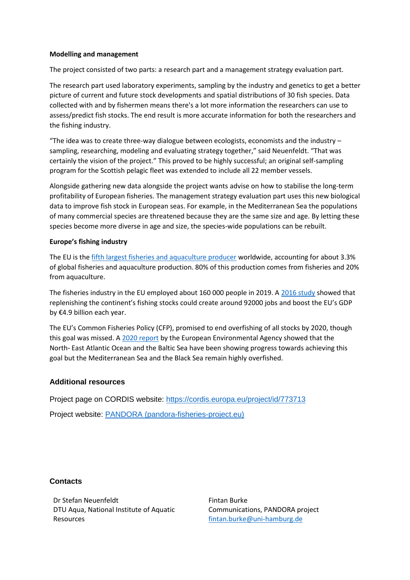## **Modelling and management**

The project consisted of two parts: a research part and a management strategy evaluation part.

The research part used laboratory experiments, sampling by the industry and genetics to get a better picture of current and future stock developments and spatial distributions of 30 fish species. Data collected with and by fishermen means there's a lot more information the researchers can use to assess/predict fish stocks. The end result is more accurate information for both the researchers and the fishing industry.

"The idea was to create three-way dialogue between ecologists, economists and the industry  $$ sampling, researching, modeling and evaluating strategy together," said Neuenfeldt. "That was certainly the vision of the project." This proved to be highly successful; an original self-sampling program for the Scottish pelagic fleet was extended to include all 22 member vessels.

Alongside gathering new data alongside the project wants advise on how to stabilise the long-term profitability of European fisheries. The management strategy evaluation part uses this new biological data to improve fish stock in European seas. For example, in the Mediterranean Sea the populations of many commercial species are threatened because they are the same size and age. By letting these species become more diverse in age and size, the species-wide populations can be rebuilt.

## **Europe's fishing industry**

The EU is th[e fifth largest fisheries and aquaculture producer](https://ec.europa.eu/oceans-and-fisheries/facts-and-figures/facts-and-figures-common-fisheries-policy/fisheries-and-aquaculture-production_en) worldwide, accounting for about 3.3% of global fisheries and aquaculture production. 80% of this production comes from fisheries and 20% from aquaculture.

The fisheries industry in the EU employed about 160 000 people in 2019. A [2016 study](https://europe.oceana.org/en/our-work/more-fish-more-jobs-more-money/overview) showed that replenishing the continent's fishing stocks could create around 92000 jobs and boost the EU's GDP by €4.9 billion each year.

The EU's Common Fisheries Policy (CFP), promised to end overfishing of all stocks by 2020, though this goal was missed. A [2020 report](https://www.eea.europa.eu/publications/marine-messages-2) by the European Environmental Agency showed that the North‑ East Atlantic Ocean and the Baltic Sea have been showing progress towards achieving this goal but the Mediterranean Sea and the Black Sea remain highly overfished.

# **Additional resources**

Project page on CORDIS website:<https://cordis.europa.eu/project/id/773713>

Project website: [PANDORA \(pandora-fisheries-project.eu\)](https://www.pandora-fisheries-project.eu/)

# **Contacts**

Dr Stefan Neuenfeldt DTU Aqua, National Institute of Aquatic Resources

Fintan Burke Communications, PANDORA project [fintan.burke@uni-hamburg.de](mailto:fintan.burke@uni-hamburg.de)